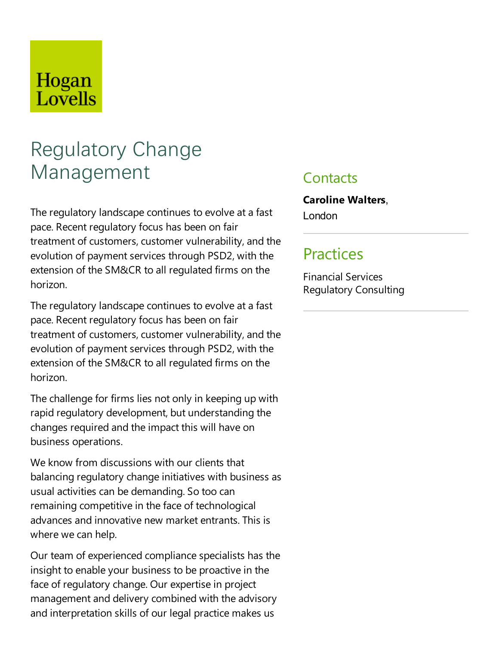# Hogan Lovells

# Regulatory Change Management

The regulatory landscape continues to evolve at a fast pace. Recent regulatory focus has been on fair treatment of customers, customer vulnerability, and the evolution of payment services through PSD2, with the extension of the SM&CR to all regulated firms on the horizon.

The regulatory landscape continues to evolve at a fast pace. Recent regulatory focus has been on fair treatment of customers, customer vulnerability, and the evolution of payment services through PSD2, with the extension of the SM&CR to all regulated firms on the horizon.

The challenge for firms lies not only in keeping up with rapid regulatory development, but understanding the changes required and the impact this will have on business operations.

We know from discussions with our clients that balancing regulatory change initiatives with business as usual activities can be demanding. So too can remaining competitive in the face of technological advances and innovative new market entrants. This is where we can help.

Our team of experienced compliance specialists has the insight to enable your business to be proactive in the face of regulatory change. Our expertise in project management and delivery combined with the advisory and interpretation skills of our legal practice makes us

#### **Contacts**

**Caroline Walters**, London

### Practices

Financial Services Regulatory Consulting